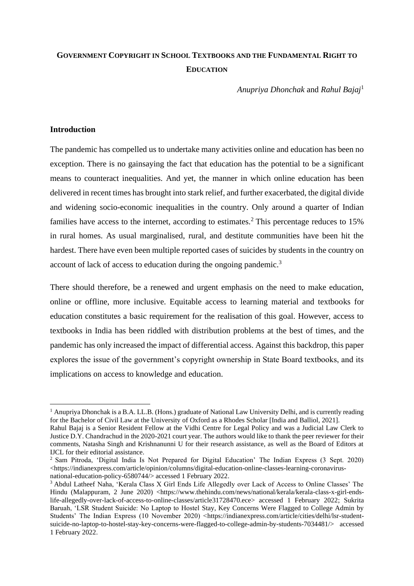# **GOVERNMENT COPYRIGHT IN SCHOOL TEXTBOOKS AND THE FUNDAMENTAL RIGHT TO EDUCATION**

*Anupriya Dhonchak* and *Rahul Bajaj*<sup>1</sup>

## **Introduction**

The pandemic has compelled us to undertake many activities online and education has been no exception. There is no gainsaying the fact that education has the potential to be a significant means to counteract inequalities. And yet, the manner in which online education has been delivered in recent times has brought into stark relief, and further exacerbated, the digital divide and widening socio-economic inequalities in the country. Only around a quarter of Indian families have access to the internet, according to estimates.<sup>2</sup> This percentage reduces to  $15\%$ in rural homes. As usual marginalised, rural, and destitute communities have been hit the hardest. There have even been multiple reported cases of suicides by students in the country on account of lack of access to education during the ongoing pandemic.<sup>3</sup>

There should therefore, be a renewed and urgent emphasis on the need to make education, online or offline, more inclusive. Equitable access to learning material and textbooks for education constitutes a basic requirement for the realisation of this goal. However, access to textbooks in India has been riddled with distribution problems at the best of times, and the pandemic has only increased the impact of differential access. Against this backdrop, this paper explores the issue of the government's copyright ownership in State Board textbooks, and its implications on access to knowledge and education.

<sup>&</sup>lt;sup>1</sup> Anupriya Dhonchak is a B.A. LL.B. (Hons.) graduate of National Law University Delhi, and is currently reading for the Bachelor of Civil Law at the University of Oxford as a Rhodes Scholar [India and Balliol, 2021].

Rahul Bajaj is a Senior Resident Fellow at the Vidhi Centre for Legal Policy and was a Judicial Law Clerk to Justice D.Y. Chandrachud in the 2020-2021 court year. The authors would like to thank the peer reviewer for their comments, Natasha Singh and Krishnanunni U for their research assistance, as well as the Board of Editors at IJCL for their editorial assistance.

<sup>2</sup> Sam Pitroda, 'Digital India Is Not Prepared for Digital Education' The Indian Express (3 Sept. 2020) [<https://indianexpress.com/article/opinion/columns/digital-education-online-classes-learning-coronavirus](https://indianexpress.com/article/opinion/columns/digital-education-online-classes-learning-coronavirus-national-education-policy-6580744/)[national-education-policy-6580744/>](https://indianexpress.com/article/opinion/columns/digital-education-online-classes-learning-coronavirus-national-education-policy-6580744/) accessed 1 February 2022.

<sup>3</sup> Abdul Latheef Naha, 'Kerala Class X Girl Ends Life Allegedly over Lack of Access to Online Classes' The Hindu (Malappuram, 2 June 2020) [<https://www.thehindu.com/news/national/kerala/kerala-class-x-girl-ends](https://www.thehindu.com/news/national/kerala/kerala-class-x-girl-ends-life-allegedly-over-lack-of-access-to-online-classes/article31728470.ece)[life-allegedly-over-lack-of-access-to-online-classes/article31728470.ece>](https://www.thehindu.com/news/national/kerala/kerala-class-x-girl-ends-life-allegedly-over-lack-of-access-to-online-classes/article31728470.ece) accessed 1 February 2022; Sukrita Baruah, 'LSR Student Suicide: No Laptop to Hostel Stay, Key Concerns Were Flagged to College Admin by Students' The Indian Express (10 November 2020) [<https://indianexpress.com/article/cities/delhi/lsr-student](https://indianexpress.com/article/cities/delhi/lsr-student-suicide-no-laptop-to-hostel-stay-key-concerns-were-flagged-to-college-admin-by-students-7034481/)[suicide-no-laptop-to-hostel-stay-key-concerns-were-flagged-to-college-admin-by-students-7034481/>](https://indianexpress.com/article/cities/delhi/lsr-student-suicide-no-laptop-to-hostel-stay-key-concerns-were-flagged-to-college-admin-by-students-7034481/) accessed 1 February 2022.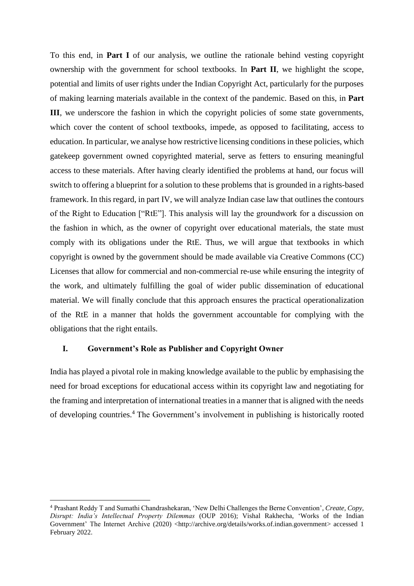To this end, in **Part I** of our analysis, we outline the rationale behind vesting copyright ownership with the government for school textbooks. In **Part II**, we highlight the scope, potential and limits of user rights under the Indian Copyright Act, particularly for the purposes of making learning materials available in the context of the pandemic. Based on this, in **Part III**, we underscore the fashion in which the copyright policies of some state governments, which cover the content of school textbooks, impede, as opposed to facilitating, access to education. In particular, we analyse how restrictive licensing conditions in these policies, which gatekeep government owned copyrighted material, serve as fetters to ensuring meaningful access to these materials. After having clearly identified the problems at hand, our focus will switch to offering a blueprint for a solution to these problems that is grounded in a rights-based framework. In this regard, in part IV, we will analyze Indian case law that outlines the contours of the Right to Education ["RtE"]. This analysis will lay the groundwork for a discussion on the fashion in which, as the owner of copyright over educational materials, the state must comply with its obligations under the RtE. Thus, we will argue that textbooks in which copyright is owned by the government should be made available via Creative Commons (CC) Licenses that allow for commercial and non-commercial re-use while ensuring the integrity of the work, and ultimately fulfilling the goal of wider public dissemination of educational material. We will finally conclude that this approach ensures the practical operationalization of the RtE in a manner that holds the government accountable for complying with the obligations that the right entails.

## **I. Government's Role as Publisher and Copyright Owner**

India has played a pivotal role in making knowledge available to the public by emphasising the need for broad exceptions for educational access within its copyright law and negotiating for the framing and interpretation of international treaties in a manner that is aligned with the needs of developing countries.<sup>4</sup> The Government's involvement in publishing is historically rooted

<sup>4</sup> Prashant Reddy T and Sumathi Chandrashekaran, 'New Delhi Challenges the Berne Convention', *Create, Copy, Disrupt: India's Intellectual Property Dilemmas* (OUP 2016); Vishal Rakhecha, 'Works of the Indian Government' The Internet Archive (2020) [<http://archive.org/details/works.of.indian.government>](http://archive.org/details/works.of.indian.government) accessed 1 February 2022.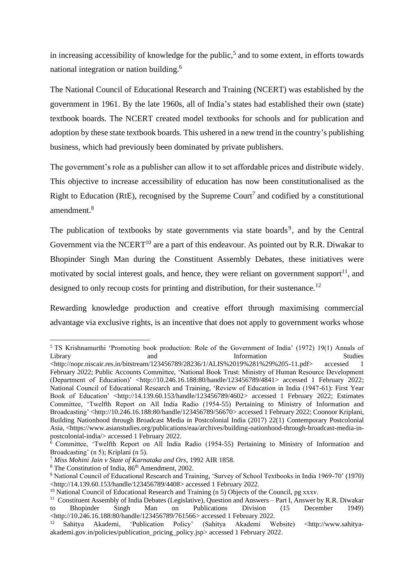in increasing accessibility of knowledge for the public,<sup>5</sup> and to some extent, in efforts towards national integration or nation building.<sup>6</sup>

The National Council of Educational Research and Training (NCERT) was established by the government in 1961. By the late 1960s, all of India's states had established their own (state) textbook boards. The NCERT created model textbooks for schools and for publication and adoption by these state textbook boards. This ushered in a new trend in the country's publishing business, which had previously been dominated by private publishers.

The government's role as a publisher can allow it to set affordable prices and distribute widely. This objective to increase accessibility of education has now been constitutionalised as the Right to Education (RtE), recognised by the Supreme Court<sup>7</sup> and codified by a constitutional amendment.<sup>8</sup>

The publication of textbooks by state governments via state boards<sup>9</sup>, and by the Central Government via the NCERT<sup>10</sup> are a part of this endeavour. As pointed out by R.R. Diwakar to Bhopinder Singh Man during the Constituent Assembly Debates, these initiatives were motivated by social interest goals, and hence, they were reliant on government support<sup>11</sup>, and designed to only recoup costs for printing and distribution, for their sustenance.<sup>12</sup>

Rewarding knowledge production and creative effort through maximising commercial advantage via exclusive rights, is an incentive that does not apply to government works whose

<sup>&</sup>lt;sup>5</sup> TS Krishnamurthi 'Promoting book production: Role of the Government of India' (1972) 19(1) Annals of Library and **Information** Library and and Information Studies

 $\langle$ http://nopr.niscair.res.in/bitstream/123456789/28236/1/ALIS%2019%281%29%205-11.pdf> accessed 1 February 2022; Public Accounts Committee, 'National Book Trust: Ministry of Human Resource Development (Department of Education)' [<http://10.246.16.188:80/handle/123456789/4841>](http://10.246.16.188/handle/123456789/4841) accessed 1 February 2022; National Council of Educational Research and Training, 'Review of Education in India (1947-61): First Year Book of Education' [<http://14.139.60.153/handle/123456789/4602>](http://14.139.60.153/handle/123456789/4602) accessed 1 February 2022; Estimates Committee, 'Twelfth Report on All India Radio (1954-55) Pertaining to Ministry of Information and Broadcasting' [<http://10.246.16.188:80/handle/123456789/56670>](http://10.246.16.188/handle/123456789/56670) accessed 1 February 2022; Coonoor Kriplani, Building Nationhood through Broadcast Media in Postcolonial India (2017) 22(1) Contemporary Postcolonial Asia, [<https://www.asianstudies.org/publications/eaa/archives/building-nationhood-through-broadcast-media-in](https://www.asianstudies.org/publications/eaa/archives/building-nationhood-through-broadcast-media-in-postcolonial-india/)[postcolonial-india/>](https://www.asianstudies.org/publications/eaa/archives/building-nationhood-through-broadcast-media-in-postcolonial-india/) accessed 1 February 2022.

<sup>6</sup> Committee, 'Twelfth Report on All India Radio (1954-55) Pertaining to Ministry of Information and Broadcasting' (n 5); Kriplani (n 5).

<sup>7</sup> *Miss Mohini Jain v State of Karnataka and Ors*, 1992 AIR 1858.

<sup>&</sup>lt;sup>8</sup> The Constitution of India,  $86<sup>th</sup>$  Amendment, 2002.

<sup>9</sup> National Council of Educational Research and Training, 'Survey of School Textbooks in India 1969-70' (1970) [<http://14.139.60.153/handle/123456789/4408>](http://14.139.60.153/handle/123456789/4408) accessed 1 February 2022.

<sup>&</sup>lt;sup>10</sup> National Council of Educational Research and Training (n 5) Objects of the Council, pg xxxv.

<sup>&</sup>lt;sup>11</sup> Constituent Assembly of India Debates (Legislative), Question and Answers - Part I, Answer by R.R. Diwakar to Bhopinder Singh Man on Publications Division (15 December 1949) [<http://10.246.16.188:80/handle/123456789/761566>](http://10.246.16.188/handle/123456789/761566) accessed 1 February 2022.

<sup>12</sup> Sahitya Akademi, 'Publication Policy' (Sahitya Akademi Website) [<http://www.sahitya](http://www.sahitya-akademi.gov.in/policies/publication_pricing_policy.jsp)[akademi.gov.in/policies/publication\\_pricing\\_policy.jsp>](http://www.sahitya-akademi.gov.in/policies/publication_pricing_policy.jsp) accessed 1 February 2022.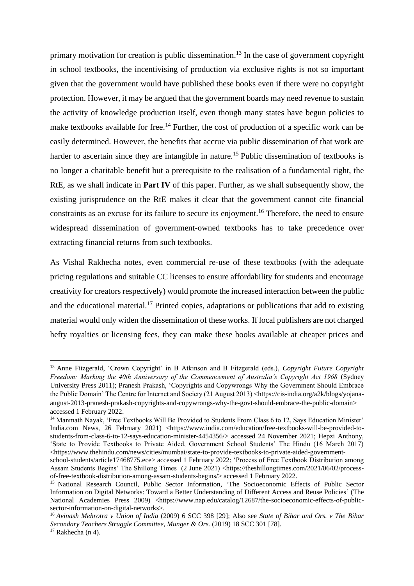primary motivation for creation is public dissemination.<sup>13</sup> In the case of government copyright in school textbooks, the incentivising of production via exclusive rights is not so important given that the government would have published these books even if there were no copyright protection. However, it may be argued that the government boards may need revenue to sustain the activity of knowledge production itself, even though many states have begun policies to make textbooks available for free.<sup>14</sup> Further, the cost of production of a specific work can be easily determined. However, the benefits that accrue via public dissemination of that work are harder to ascertain since they are intangible in nature.<sup>15</sup> Public dissemination of textbooks is no longer a charitable benefit but a prerequisite to the realisation of a fundamental right, the RtE, as we shall indicate in **Part IV** of this paper. Further, as we shall subsequently show, the existing jurisprudence on the RtE makes it clear that the government cannot cite financial constraints as an excuse for its failure to secure its enjoyment. <sup>16</sup> Therefore, the need to ensure widespread dissemination of government-owned textbooks has to take precedence over extracting financial returns from such textbooks.

As Vishal Rakhecha notes, even commercial re-use of these textbooks (with the adequate pricing regulations and suitable CC licenses to ensure affordability for students and encourage creativity for creators respectively) would promote the increased interaction between the public and the educational material.<sup>17</sup> Printed copies, adaptations or publications that add to existing material would only widen the dissemination of these works. If local publishers are not charged hefty royalties or licensing fees, they can make these books available at cheaper prices and

<sup>13</sup> Anne Fitzgerald, 'Crown Copyright' in B Atkinson and B Fitzgerald (eds.), *Copyright Future Copyright Freedom: Marking the 40th Anniversary of the Commencement of Australia's Copyright Act 1968* (Sydney University Press 2011); Pranesh Prakash, 'Copyrights and Copywrongs Why the Government Should Embrace the Public Domain' The Centre for Internet and Society (21 August 2013) [<https://cis-india.org/a2k/blogs/yojana](https://cis-india.org/a2k/blogs/yojana-august-2013-pranesh-prakash-copyrights-and-copywrongs-why-the-govt-should-embrace-the-public-domain)[august-2013-pranesh-prakash-copyrights-and-copywrongs-why-the-govt-should-embrace-the-public-domain>](https://cis-india.org/a2k/blogs/yojana-august-2013-pranesh-prakash-copyrights-and-copywrongs-why-the-govt-should-embrace-the-public-domain) accessed 1 February 2022.

<sup>&</sup>lt;sup>14</sup> Manmath Nayak, 'Free Textbooks Will Be Provided to Students From Class 6 to 12, Says Education Minister' India.com News, 26 February 2021) <https://www.india.com/education/free-textbooks-will-be-provided-tostudents-from-class-6-to-12-says-education-minister-4454356/> accessed 24 November 2021; Hepzi Anthony, 'State to Provide Textbooks to Private Aided, Government School Students' The Hindu (16 March 2017)  $\langle$ https://www.thehindu.com/news/cities/mumbai/state-to-provide-textbooks-to-private-aided-government-

[school-students/article17468775.ece>](https://www.thehindu.com/news/cities/mumbai/state-to-provide-textbooks-to-private-aided-government-school-students/article17468775.ece) accessed 1 February 2022; 'Process of Free Textbook Distribution among Assam Students Begins' The Shillong Times (2 June 2021) [<https://theshillongtimes.com/2021/06/02/process](https://theshillongtimes.com/2021/06/02/process-of-free-textbook-distribution-among-assam-students-begins/)[of-free-textbook-distribution-among-assam-students-begins/>](https://theshillongtimes.com/2021/06/02/process-of-free-textbook-distribution-among-assam-students-begins/) accessed 1 February 2022.

<sup>&</sup>lt;sup>15</sup> National Research Council, Public Sector Information, 'The Socioeconomic Effects of Public Sector Information on Digital Networks: Toward a Better Understanding of Different Access and Reuse Policies' (The National Academies Press 2009) [<https://www.nap.edu/catalog/12687/the-socioeconomic-effects-of-public](https://www.nap.edu/catalog/12687/the-socioeconomic-effects-of-public-sector-information-on-digital-networks)[sector-information-on-digital-networks>](https://www.nap.edu/catalog/12687/the-socioeconomic-effects-of-public-sector-information-on-digital-networks).

<sup>16</sup> *Avinash Mehrotra v Union of India* (2009) 6 SCC 398 [29]; Also see *State of Bihar and Ors. v The Bihar Secondary Teachers Struggle Committee, Munger & Ors.* (2019) 18 SCC 301 [78].  $17$  Rakhecha (n 4).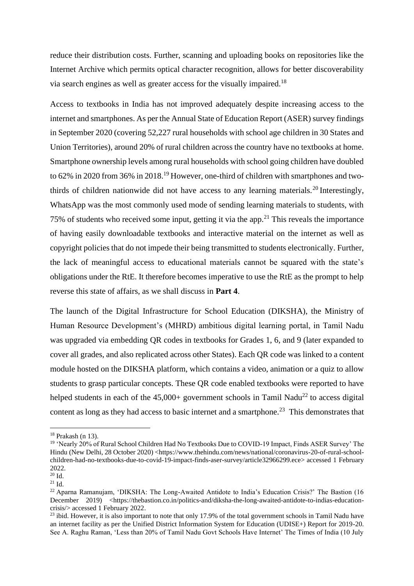reduce their distribution costs. Further, scanning and uploading books on repositories like the Internet Archive which permits optical character recognition, allows for better discoverability via search engines as well as greater access for the visually impaired.<sup>18</sup>

Access to textbooks in India has not improved adequately despite increasing access to the internet and smartphones. As per the Annual State of Education Report (ASER) survey findings in September 2020 (covering 52,227 rural households with school age children in 30 States and Union Territories), around 20% of rural children across the country have no textbooks at home. Smartphone ownership levels among rural households with school going children have doubled to 62% in 2020 from 36% in 2018.<sup>19</sup> However, one-third of children with smartphones and twothirds of children nationwide did not have access to any learning materials.<sup>20</sup> Interestingly, WhatsApp was the most commonly used mode of sending learning materials to students, with 75% of students who received some input, getting it via the app.<sup>21</sup> This reveals the importance of having easily downloadable textbooks and interactive material on the internet as well as copyright policies that do not impede their being transmitted to students electronically. Further, the lack of meaningful access to educational materials cannot be squared with the state's obligations under the RtE. It therefore becomes imperative to use the RtE as the prompt to help reverse this state of affairs, as we shall discuss in **Part 4**.

The launch of the Digital Infrastructure for School Education (DIKSHA), the Ministry of Human Resource Development's (MHRD) ambitious digital learning portal, in Tamil Nadu was upgraded via embedding QR codes in textbooks for Grades 1, 6, and 9 (later expanded to cover all grades, and also replicated across other States). Each QR code was linked to a content module hosted on the DIKSHA platform, which contains a video, animation or a quiz to allow students to grasp particular concepts. These QR code enabled textbooks were reported to have helped students in each of the  $45,000+$  government schools in Tamil Nadu<sup>22</sup> to access digital content as long as they had access to basic internet and a smartphone.<sup>23</sup> This demonstrates that

 $18$  Prakash (n 13).

<sup>19</sup> 'Nearly 20% of Rural School Children Had No Textbooks Due to COVID-19 Impact, Finds ASER Survey' The Hindu (New Delhi, 28 October 2020) [<https://www.thehindu.com/news/national/coronavirus-20-of-rural-school](https://www.thehindu.com/news/national/coronavirus-20-of-rural-school-children-had-no-textbooks-due-to-covid-19-impact-finds-aser-survey/article32966299.ece)[children-had-no-textbooks-due-to-covid-19-impact-finds-aser-survey/article32966299.ece>](https://www.thehindu.com/news/national/coronavirus-20-of-rural-school-children-had-no-textbooks-due-to-covid-19-impact-finds-aser-survey/article32966299.ece) accessed 1 February 2022.

 $20$  Id.

 $21$  Id.

<sup>&</sup>lt;sup>22</sup> Aparna Ramanujam, 'DIKSHA: The Long-Awaited Antidote to India's Education Crisis?' The Bastion (16 December 2019) [<https://thebastion.co.in/politics-and/diksha-the-long-awaited-antidote-to-indias-education](https://thebastion.co.in/politics-and/diksha-the-long-awaited-antidote-to-indias-education-crisis/)[crisis/>](https://thebastion.co.in/politics-and/diksha-the-long-awaited-antidote-to-indias-education-crisis/) accessed 1 February 2022.

 $^{23}$  ibid. However, it is also important to note that only 17.9% of the total government schools in Tamil Nadu have an internet facility as per the Unified District Information System for Education (UDISE+) Report for 2019-20. See A. Raghu Raman, 'Less than 20% of Tamil Nadu Govt Schools Have Internet' The Times of India (10 July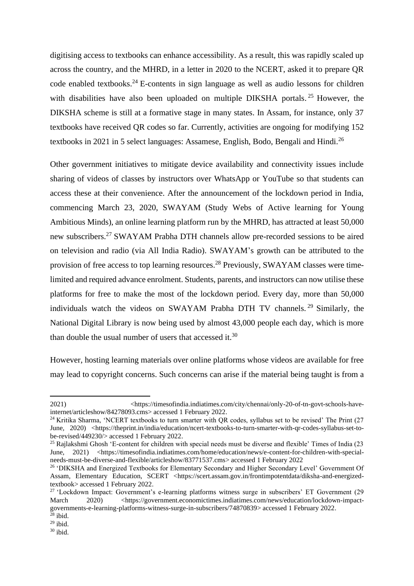digitising access to textbooks can enhance accessibility. As a result, this was rapidly scaled up across the country, and the MHRD, in a letter in 2020 to the NCERT, asked it to prepare QR code enabled textbooks.<sup>24</sup> E-contents in sign language as well as audio lessons for children with disabilities have also been uploaded on multiple DIKSHA portals.<sup>25</sup> However, the DIKSHA scheme is still at a formative stage in many states. In Assam, for instance, only 37 textbooks have received QR codes so far. Currently, activities are ongoing for modifying 152 textbooks in 2021 in 5 select languages: Assamese, English, Bodo, Bengali and Hindi.<sup>26</sup>

Other government initiatives to mitigate device availability and connectivity issues include sharing of videos of classes by instructors over WhatsApp or YouTube so that students can access these at their convenience. After the announcement of the lockdown period in India, commencing March 23, 2020, SWAYAM (Study Webs of Active learning for Young Ambitious Minds), an online learning platform run by the MHRD, has attracted at least 50,000 new subscribers.<sup>27</sup> SWAYAM Prabha DTH channels allow pre-recorded sessions to be aired on television and radio (via All India Radio). SWAYAM's growth can be attributed to the provision of free access to top learning resources.<sup>28</sup> Previously, SWAYAM classes were timelimited and required advance enrolment. Students, parents, and instructors can now utilise these platforms for free to make the most of the lockdown period. Every day, more than 50,000 individuals watch the videos on SWAYAM Prabha DTH TV channels. <sup>29</sup> Similarly, the National Digital Library is now being used by almost 43,000 people each day, which is more than double the usual number of users that accessed it. $30$ 

However, hosting learning materials over online platforms whose videos are available for free may lead to copyright concerns. Such concerns can arise if the material being taught is from a

<sup>2021)</sup>  $\langle$ https://timesofindia.indiatimes.com/city/chennai/only-20-of-tn-govt-schools-have[internet/articleshow/84278093.cms>](https://timesofindia.indiatimes.com/city/chennai/only-20-of-tn-govt-schools-have-internet/articleshow/84278093.cms) accessed 1 February 2022.

<sup>&</sup>lt;sup>24</sup> Kritika Sharma, 'NCERT textbooks to turn smarter with OR codes, syllabus set to be revised' The Print (27) June, 2020) [<https://theprint.in/india/education/ncert-textbooks-to-turn-smarter-with-qr-codes-syllabus-set-to](https://theprint.in/india/education/ncert-textbooks-to-turn-smarter-with-qr-codes-syllabus-set-to-be-revised/449230/)[be-revised/449230/>](https://theprint.in/india/education/ncert-textbooks-to-turn-smarter-with-qr-codes-syllabus-set-to-be-revised/449230/) accessed 1 February 2022.

<sup>&</sup>lt;sup>25</sup> Rajlakshmi Ghosh 'E-content for children with special needs must be diverse and flexible' Times of India (23 June, 2021) [<https://timesofindia.indiatimes.com/home/education/news/e-content-for-children-with-special](https://timesofindia.indiatimes.com/home/education/news/e-content-for-children-with-special-needs-must-be-diverse-and-flexible/articleshow/83771537.cms)[needs-must-be-diverse-and-flexible/articleshow/83771537.cms>](https://timesofindia.indiatimes.com/home/education/news/e-content-for-children-with-special-needs-must-be-diverse-and-flexible/articleshow/83771537.cms) accessed 1 February 2022

<sup>&</sup>lt;sup>26</sup> 'DIKSHA and Energized Textbooks for Elementary Secondary and Higher Secondary Level' Government Of Assam, Elementary Education, SCERT [<https://scert.assam.gov.in/frontimpotentdata/diksha-and-energized](https://scert.assam.gov.in/frontimpotentdata/diksha-and-energized-textbook)[textbook>](https://scert.assam.gov.in/frontimpotentdata/diksha-and-energized-textbook) accessed 1 February 2022.

<sup>&</sup>lt;sup>27</sup> 'Lockdown Impact: Government's e-learning platforms witness surge in subscribers' ET Government (29 March 2020) [<https://government.economictimes.indiatimes.com/news/education/lockdown-impact](https://government.economictimes.indiatimes.com/news/education/lockdown-impact-governments-e-learning-platforms-witness-surge-in-subscribers/74870839)[governments-e-learning-platforms-witness-surge-in-subscribers/74870839>](https://government.economictimes.indiatimes.com/news/education/lockdown-impact-governments-e-learning-platforms-witness-surge-in-subscribers/74870839) accessed 1 February 2022.

 $^{28}$  ibid.

 $29$  ibid.

 $30$  ibid.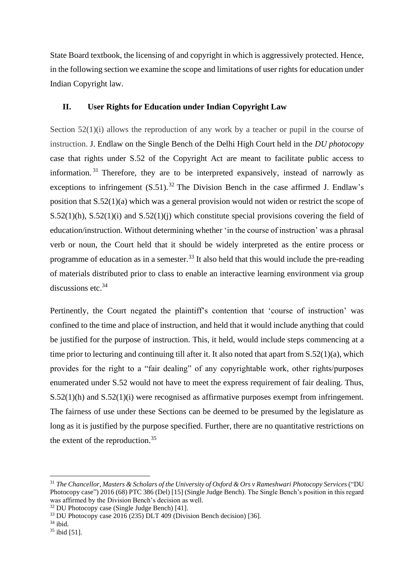State Board textbook, the licensing of and copyright in which is aggressively protected. Hence, in the following section we examine the scope and limitations of user rights for education under Indian Copyright law.

# **II. User Rights for Education under Indian Copyright Law**

Section 52(1)(i) allows the reproduction of any work by a teacher or pupil in the course of instruction. J. Endlaw on the Single Bench of the Delhi High Court held in the *DU photocopy* case that rights under S.52 of the Copyright Act are meant to facilitate public access to information.<sup>31</sup> Therefore, they are to be interpreted expansively, instead of narrowly as exceptions to infringement  $(S.51)$ .<sup>32</sup> The Division Bench in the case affirmed J. Endlaw's position that S.52(1)(a) which was a general provision would not widen or restrict the scope of S.52(1)(h), S.52(1)(i) and S.52(1)(j) which constitute special provisions covering the field of education/instruction. Without determining whether 'in the course of instruction' was a phrasal verb or noun, the Court held that it should be widely interpreted as the entire process or programme of education as in a semester.<sup>33</sup> It also held that this would include the pre-reading of materials distributed prior to class to enable an interactive learning environment via group discussions etc.<sup>34</sup>

Pertinently, the Court negated the plaintiff's contention that 'course of instruction' was confined to the time and place of instruction, and held that it would include anything that could be justified for the purpose of instruction. This, it held, would include steps commencing at a time prior to lecturing and continuing till after it. It also noted that apart from S.52(1)(a), which provides for the right to a "fair dealing" of any copyrightable work, other rights/purposes enumerated under S.52 would not have to meet the express requirement of fair dealing. Thus, S.52(1)(h) and S.52(1)(i) were recognised as affirmative purposes exempt from infringement. The fairness of use under these Sections can be deemed to be presumed by the legislature as long as it is justified by the purpose specified. Further, there are no quantitative restrictions on the extent of the reproduction.<sup>35</sup>

<sup>31</sup> *The Chancellor, Masters & Scholars of the University of Oxford & Ors v Rameshwari Photocopy Services* ("DU Photocopy case") 2016 (68) PTC 386 (Del) [15] (Single Judge Bench). The Single Bench's position in this regard was affirmed by the Division Bench's decision as well.

 $32$  DU Photocopy case (Single Judge Bench) [41].

 $33$  DU Photocopy case 2016 (235) DLT 409 (Division Bench decision) [36].

 $34$  ibid.

<sup>35</sup> ibid [51].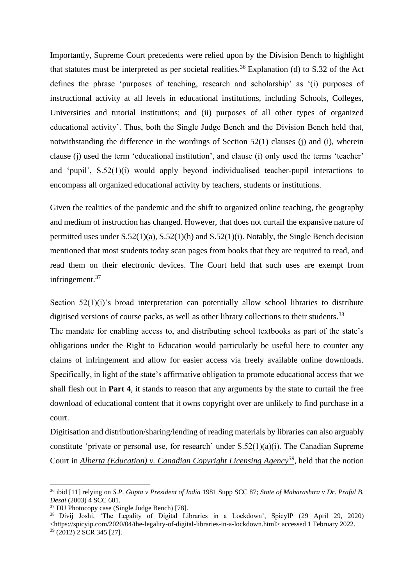Importantly, Supreme Court precedents were relied upon by the Division Bench to highlight that statutes must be interpreted as per societal realities.<sup>36</sup> Explanation (d) to S.32 of the Act defines the phrase 'purposes of teaching, research and scholarship' as '(i) purposes of instructional activity at all levels in educational institutions, including Schools, Colleges, Universities and tutorial institutions; and (ii) purposes of all other types of organized educational activity'. Thus, both the Single Judge Bench and the Division Bench held that, notwithstanding the difference in the wordings of Section 52(1) clauses (j) and (i), wherein clause (j) used the term 'educational institution', and clause (i) only used the terms 'teacher' and 'pupil', S.52(1)(i) would apply beyond individualised teacher-pupil interactions to encompass all organized educational activity by teachers, students or institutions.

Given the realities of the pandemic and the shift to organized online teaching, the geography and medium of instruction has changed. However, that does not curtail the expansive nature of permitted uses under S.52(1)(a), S.52(1)(h) and S.52(1)(i). Notably, the Single Bench decision mentioned that most students today scan pages from books that they are required to read, and read them on their electronic devices. The Court held that such uses are exempt from infringement.<sup>37</sup>

Section 52(1)(i)'s broad interpretation can potentially allow school libraries to distribute digitised versions of course packs, as well as other library collections to their students.<sup>38</sup>

The mandate for enabling access to, and distributing school textbooks as part of the state's obligations under the Right to Education would particularly be useful here to counter any claims of infringement and allow for easier access via freely available online downloads. Specifically, in light of the state's affirmative obligation to promote educational access that we shall flesh out in **Part 4**, it stands to reason that any arguments by the state to curtail the free download of educational content that it owns copyright over are unlikely to find purchase in a court.

Digitisation and distribution/sharing/lending of reading materials by libraries can also arguably constitute 'private or personal use, for research' under S.52(1)(a)(i). The Canadian Supreme Court in *Alberta (Education) v. Canadian Copyright Licensing Agency<sup>39</sup>, held that the notion* 

<sup>36</sup> ibid [11] relying on *S.P. Gupta v President of India* 1981 Supp SCC 87; *State of Maharashtra v Dr. Praful B. Desai* (2003) 4 SCC 601.

<sup>37</sup> DU Photocopy case (Single Judge Bench) [78].

<sup>38</sup> Divij Joshi, 'The Legality of Digital Libraries in a Lockdown', SpicyIP (29 April 29, 2020) [<https://spicyip.com/2020/04/the-legality-of-digital-libraries-in-a-lockdown.html>](https://spicyip.com/2020/04/the-legality-of-digital-libraries-in-a-lockdown.html) accessed 1 February 2022.  $39$  (2012) 2 SCR 345 [27].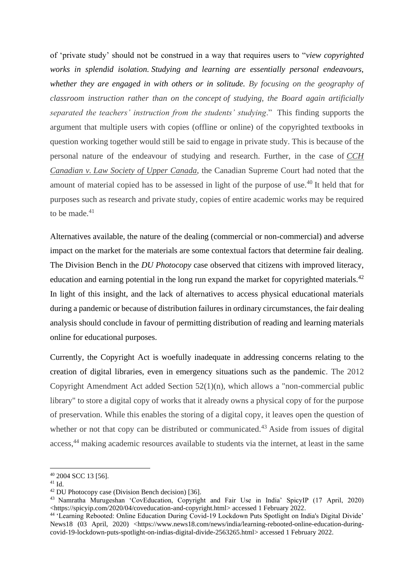of 'private study' should not be construed in a way that requires users to "*view copyrighted works in splendid isolation. Studying and learning are essentially personal endeavours, whether they are engaged in with others or in solitude. By focusing on the geography of classroom instruction rather than on the concept of studying, the Board again artificially separated the teachers' instruction from the students' studying*." This finding supports the argument that multiple users with copies (offline or online) of the copyrighted textbooks in question working together would still be said to engage in private study. This is because of the personal nature of the endeavour of studying and research. Further, in the case of *CCH Canadian v. Law Society of Upper Canada*, the Canadian Supreme Court had noted that the amount of material copied has to be assessed in light of the purpose of use.<sup>40</sup> It held that for purposes such as research and private study, copies of entire academic works may be required to be made.<sup>41</sup>

Alternatives available, the nature of the dealing (commercial or non-commercial) and adverse impact on the market for the materials are some contextual factors that determine fair dealing. The Division Bench in the *DU Photocopy* case observed that citizens with improved literacy, education and earning potential in the long run expand the market for copyrighted materials.<sup>42</sup> In light of this insight, and the lack of alternatives to access physical educational materials during a pandemic or because of distribution failures in ordinary circumstances, the fair dealing analysis should conclude in favour of permitting distribution of reading and learning materials online for educational purposes.

Currently, the Copyright Act is woefully inadequate in addressing concerns relating to the creation of digital libraries, even in emergency situations such as the pandemic. The 2012 Copyright Amendment Act added Section 52(1)(n), which allows a "non-commercial public library" to store a digital copy of works that it already owns a physical copy of for the purpose of preservation. While this enables the storing of a digital copy, it leaves open the question of whether or not that copy can be distributed or communicated.<sup>43</sup> Aside from issues of digital access,<sup>44</sup> making academic resources available to students via the internet, at least in the same

<sup>40</sup> 2004 SCC 13 [56].

<sup>41</sup> Id.

<sup>42</sup> DU Photocopy case (Division Bench decision) [36].

<sup>43</sup> Namratha Murugeshan 'CovEducation, Copyright and Fair Use in India' SpicyIP (17 April, 2020) [<https://spicyip.com/2020/04/coveducation-and-copyright.html>](https://spicyip.com/2020/04/coveducation-and-copyright.html) accessed 1 February 2022.

<sup>44</sup> 'Learning Rebooted: Online Education During Covid-19 Lockdown Puts Spotlight on India's Digital Divide' News18 (03 April, 2020) [<https://www.news18.com/news/india/learning-rebooted-online-education-during](https://www.news18.com/news/india/learning-rebooted-online-education-during-covid-19-lockdown-puts-spotlight-on-indias-digital-divide-2563265.html)[covid-19-lockdown-puts-spotlight-on-indias-digital-divide-2563265.html>](https://www.news18.com/news/india/learning-rebooted-online-education-during-covid-19-lockdown-puts-spotlight-on-indias-digital-divide-2563265.html) accessed 1 February 2022.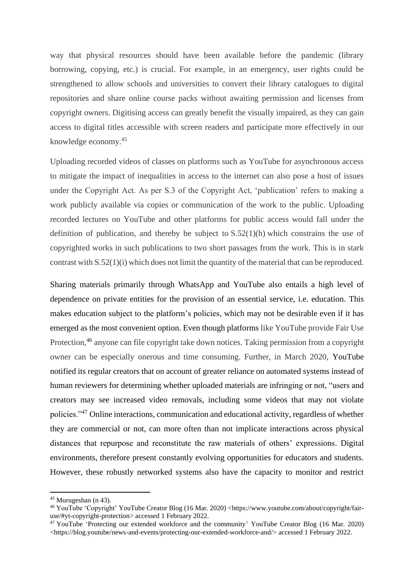way that physical resources should have been available before the pandemic (library borrowing, copying, etc.) is crucial. For example, in an emergency, user rights could be strengthened to allow schools and universities to convert their library catalogues to digital repositories and share online course packs without awaiting permission and licenses from copyright owners. Digitising access can greatly benefit the visually impaired, as they can gain access to digital titles accessible with screen readers and participate more effectively in our knowledge economy.<sup>45</sup>

Uploading recorded videos of classes on platforms such as YouTube for asynchronous access to mitigate the impact of inequalities in access to the internet can also pose a host of issues under the Copyright Act. As per S.3 of the Copyright Act, 'publication' refers to making a work publicly available via copies or communication of the work to the public. Uploading recorded lectures on YouTube and other platforms for public access would fall under the definition of publication, and thereby be subject to S.52(1)(h) which constrains the use of copyrighted works in such publications to two short passages from the work. This is in stark contrast with S.52(1)(i) which does not limit the quantity of the material that can be reproduced.

Sharing materials primarily through WhatsApp and YouTube also entails a high level of dependence on private entities for the provision of an essential service, i.e. education. This makes education subject to the platform's policies, which may not be desirable even if it has emerged as the most convenient option. Even though platforms like YouTube provide Fair Use Protection,<sup>46</sup> anyone can file copyright take down notices. Taking permission from a copyright owner can be especially onerous and time consuming. Further, in March 2020, YouTube notified its regular creators that on account of greater reliance on automated systems instead of human reviewers for determining whether uploaded materials are infringing or not, "users and creators may see increased video removals, including some videos that may not violate policies."<sup>47</sup> Online interactions, communication and educational activity, regardless of whether they are commercial or not, can more often than not implicate interactions across physical distances that repurpose and reconstitute the raw materials of others' expressions. Digital environments, therefore present constantly evolving opportunities for educators and students. However, these robustly networked systems also have the capacity to monitor and restrict

<sup>45</sup> Murugeshan (n 43).

<sup>46</sup> YouTube 'Copyright' YouTube Creator Blog (16 Mar. 2020) [<https://www.youtube.com/about/copyright/fair](https://www.youtube.com/about/copyright/fair-use/#yt-copyright-protection)[use/#yt-copyright-protection>](https://www.youtube.com/about/copyright/fair-use/#yt-copyright-protection) accessed 1 February 2022.

<sup>47</sup> YouTube 'Protecting our extended workforce and the community' YouTube Creator Blog (16 Mar. 2020) [<https://blog.youtube/news-and-events/protecting-our-extended-workforce-and/>](https://blog.youtube/news-and-events/protecting-our-extended-workforce-and/) accessed 1 February 2022.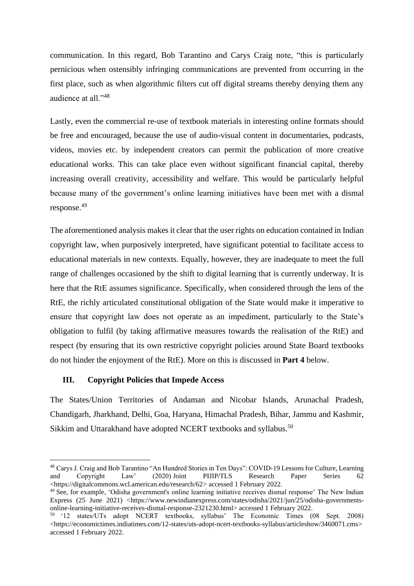communication. In this regard, Bob Tarantino and Carys Craig note, "this is particularly pernicious when ostensibly infringing communications are prevented from occurring in the first place, such as when algorithmic filters cut off digital streams thereby denying them any audience at all."<sup>48</sup>

Lastly, even the commercial re-use of textbook materials in interesting online formats should be free and encouraged, because the use of audio-visual content in documentaries, podcasts, videos, movies etc. by independent creators can permit the publication of more creative educational works. This can take place even without significant financial capital, thereby increasing overall creativity, accessibility and welfare. This would be particularly helpful because many of the government's online learning initiatives have been met with a dismal response. 49

The aforementioned analysis makes it clear that the user rights on education contained in Indian copyright law, when purposively interpreted, have significant potential to facilitate access to educational materials in new contexts. Equally, however, they are inadequate to meet the full range of challenges occasioned by the shift to digital learning that is currently underway. It is here that the RtE assumes significance. Specifically, when considered through the lens of the RtE, the richly articulated constitutional obligation of the State would make it imperative to ensure that copyright law does not operate as an impediment, particularly to the State's obligation to fulfil (by taking affirmative measures towards the realisation of the RtE) and respect (by ensuring that its own restrictive copyright policies around State Board textbooks do not hinder the enjoyment of the RtE). More on this is discussed in **Part 4** below.

# **III. Copyright Policies that Impede Access**

The States/Union Territories of Andaman and Nicobar Islands, Arunachal Pradesh, Chandigarh, Jharkhand, Delhi, Goa, Haryana, Himachal Pradesh, Bihar, Jammu and Kashmir, Sikkim and Uttarakhand have adopted NCERT textbooks and syllabus.<sup>50</sup>

<sup>48</sup> Carys J. Craig and Bob Tarantino "An Hundred Stories in Ten Days": COVID-19 Lessons for Culture, Learning and Copyright Law' (2020) Joint PIJIP/TLS Research Paper Series 62 [<https://digitalcommons.wcl.american.edu/research/62>](https://digitalcommons.wcl.american.edu/research/62) accessed 1 February 2022.

<sup>&</sup>lt;sup>49</sup> See, for example, 'Odisha government's online learning initiative receives dismal response' The New Indian Express (25 June 2021) [<https://www.newindianexpress.com/states/odisha/2021/jun/25/odisha-governments](https://www.newindianexpress.com/states/odisha/2021/jun/25/odisha-governments-online-learning-initiative-receives-dismal-response-2321230.html)[online-learning-initiative-receives-dismal-response-2321230.html>](https://www.newindianexpress.com/states/odisha/2021/jun/25/odisha-governments-online-learning-initiative-receives-dismal-response-2321230.html) accessed 1 February 2022.

<sup>50</sup> '12 states/UTs adopt NCERT textbooks, syllabus' The Economic Times (08 Sept. 2008)  $\langle$ https://economictimes.indiatimes.com/12-states/uts-adopt-ncert-textbooks-syllabus/articleshow/3460071.cms> accessed 1 February 2022.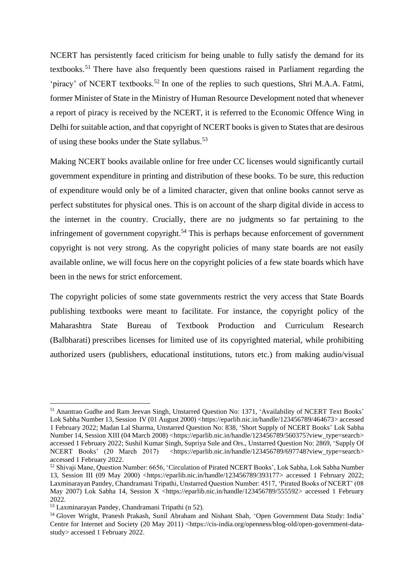NCERT has persistently faced criticism for being unable to fully satisfy the demand for its textbooks.<sup>51</sup> There have also frequently been questions raised in Parliament regarding the 'piracy' of NCERT textbooks.<sup>52</sup> In one of the replies to such questions, Shri M.A.A. Fatmi, former Minister of State in the Ministry of Human Resource Development noted that whenever a report of piracy is received by the NCERT, it is referred to the Economic Offence Wing in Delhi for suitable action, and that copyright of NCERT books is given to States that are desirous of using these books under the State syllabus.<sup>53</sup>

Making NCERT books available online for free under CC licenses would significantly curtail government expenditure in printing and distribution of these books. To be sure, this reduction of expenditure would only be of a limited character, given that online books cannot serve as perfect substitutes for physical ones. This is on account of the sharp digital divide in access to the internet in the country. Crucially, there are no judgments so far pertaining to the infringement of government copyright.<sup>54</sup> This is perhaps because enforcement of government copyright is not very strong. As the copyright policies of many state boards are not easily available online, we will focus here on the copyright policies of a few state boards which have been in the news for strict enforcement.

The copyright policies of some state governments restrict the very access that State Boards publishing textbooks were meant to facilitate. For instance, the copyright policy of the Maharashtra State Bureau of Textbook Production and Curriculum Research (Balbharati) prescribes licenses for limited use of its copyrighted material, while prohibiting authorized users (publishers, educational institutions, tutors etc.) from making audio/visual

<sup>51</sup> Anantrao Gudhe and Ram Jeevan Singh, Unstarred Question No: 1371, 'Availability of NCERT Text Books' Lok Sabha Number 13, Session IV (01 August 2000) [<https://eparlib.nic.in/handle/123456789/464673>](https://eparlib.nic.in/handle/123456789/464673) accessed 1 February 2022; Madan Lal Sharma, Unstarred Question No: 838, 'Short Supply of NCERT Books' Lok Sabha Number 14, Session XIII (04 March 2008) [<https://eparlib.nic.in/handle/123456789/560375?view\\_type=search>](https://eparlib.nic.in/handle/123456789/560375?view_type=search) accessed 1 February 2022; Sushil Kumar Singh, Supriya Sule and Ors., Unstarred Question No: 2869, 'Supply Of NCERT Books' (20 March 2017) [<https://eparlib.nic.in/handle/123456789/697748?view\\_type=search>](https://eparlib.nic.in/handle/123456789/697748?view_type=search) accessed 1 February 2022.

<sup>52</sup> Shivaji Mane, Question Number: 6656, 'Circulation of Pirated NCERT Books', Lok Sabha, Lok Sabha Number 13, Session III (09 May 2000) [<https://eparlib.nic.in/handle/123456789/393177>](https://eparlib.nic.in/handle/123456789/393177) accessed 1 February 2022; Laxminarayan Pandey, Chandramani Tripathi, Unstarred Question Number: 4517, 'Pirated Books of NCERT' (08 May 2007) Lok Sabha 14, Session X [<https://eparlib.nic.in/handle/123456789/555592>](https://eparlib.nic.in/handle/123456789/555592) accessed 1 February 2022.

<sup>53</sup> Laxminarayan Pandey, Chandramani Tripathi (n 52).

<sup>54</sup> Glover Wright, Pranesh Prakash, Sunil Abraham and Nishant Shah, 'Open Government Data Study: India' Centre for Internet and Society (20 May 2011) [<https://cis-india.org/openness/blog-old/open-government-data](https://cis-india.org/openness/blog-old/open-government-data-study)[study>](https://cis-india.org/openness/blog-old/open-government-data-study) accessed 1 February 2022.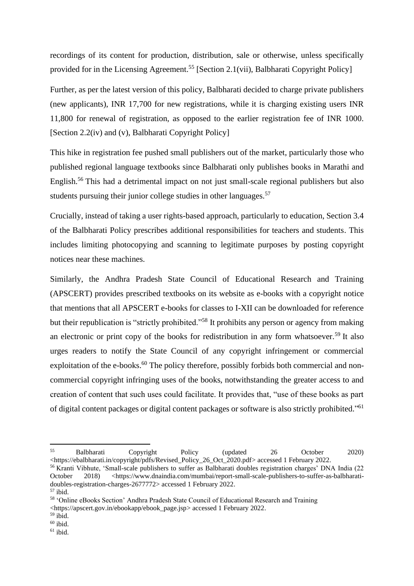recordings of its content for production, distribution, sale or otherwise, unless specifically provided for in the Licensing Agreement.<sup>55</sup> [Section 2.1(vii), Balbharati Copyright Policy]

Further, as per the latest version of this policy, Balbharati decided to charge private publishers (new applicants), INR 17,700 for new registrations, while it is charging existing users INR 11,800 for renewal of registration, as opposed to the earlier registration fee of INR 1000. [Section 2.2(iv) and (v), Balbharati Copyright Policy]

This hike in registration fee pushed small publishers out of the market, particularly those who published regional language textbooks since Balbharati only publishes books in Marathi and English.<sup>56</sup> This had a detrimental impact on not just small-scale regional publishers but also students pursuing their junior college studies in other languages.<sup>57</sup>

Crucially, instead of taking a user rights-based approach, particularly to education, Section 3.4 of the Balbharati Policy prescribes additional responsibilities for teachers and students. This includes limiting photocopying and scanning to legitimate purposes by posting copyright notices near these machines.

Similarly, the Andhra Pradesh State Council of Educational Research and Training (APSCERT) provides prescribed textbooks on its website as e-books with a copyright notice that mentions that all APSCERT e-books for classes to I-XII can be downloaded for reference but their republication is "strictly prohibited."<sup>58</sup> It prohibits any person or agency from making an electronic or print copy of the books for redistribution in any form whatsoever.<sup>59</sup> It also urges readers to notify the State Council of any copyright infringement or commercial exploitation of the e-books.<sup>60</sup> The policy therefore, possibly forbids both commercial and noncommercial copyright infringing uses of the books, notwithstanding the greater access to and creation of content that such uses could facilitate. It provides that, "use of these books as part of digital content packages or digital content packages or software is also strictly prohibited."<sup>61</sup>

<sup>55</sup> Balbharati Copyright Policy (updated 26 October 2020) [<https://ebalbharati.in/copyright/pdfs/Revised\\_Policy\\_26\\_Oct\\_2020.pdf>](https://ebalbharati.in/copyright/pdfs/Revised_Policy_26_Oct_2020.pdf) accessed 1 February 2022. <sup>56</sup> Kranti Vibhute, 'Small-scale publishers to suffer as Balbharati doubles registration charges' DNA India (22

October 2018) [<https://www.dnaindia.com/mumbai/report-small-scale-publishers-to-suffer-as-balbharati](https://www.dnaindia.com/mumbai/report-small-scale-publishers-to-suffer-as-balbharati-doubles-registration-charges-2677772)[doubles-registration-charges-2677772>](https://www.dnaindia.com/mumbai/report-small-scale-publishers-to-suffer-as-balbharati-doubles-registration-charges-2677772) accessed 1 February 2022.  $57$  ibid.

<sup>58</sup> 'Online eBooks Section' Andhra Pradesh State Council of Educational Research and Training [<https://apscert.gov.in/ebookapp/ebook\\_page.jsp>](https://apscert.gov.in/ebookapp/ebook_page.jsp) accessed 1 February 2022.

 $59$  ibid.

 $60$  ibid.

 $61$  ibid.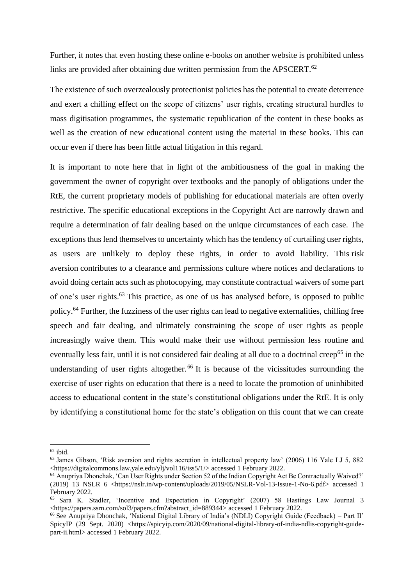Further, it notes that even hosting these online e-books on another website is prohibited unless links are provided after obtaining due written permission from the APSCERT.<sup>62</sup>

The existence of such overzealously protectionist policies has the potential to create deterrence and exert a chilling effect on the scope of citizens' user rights, creating structural hurdles to mass digitisation programmes, the systematic republication of the content in these books as well as the creation of new educational content using the material in these books. This can occur even if there has been little actual litigation in this regard.

It is important to note here that in light of the ambitiousness of the goal in making the government the owner of copyright over textbooks and the panoply of obligations under the RtE, the current proprietary models of publishing for educational materials are often overly restrictive. The specific educational exceptions in the Copyright Act are narrowly drawn and require a determination of fair dealing based on the unique circumstances of each case. The exceptions thus lend themselves to uncertainty which has the tendency of curtailing user rights, as users are unlikely to deploy these rights, in order to avoid liability. This risk aversion contributes to a clearance and permissions culture where notices and declarations to avoid doing certain acts such as photocopying, may constitute contractual waivers of some part of one's user rights. <sup>63</sup> This practice, as one of us has analysed before, is opposed to public policy.<sup>64</sup> Further, the fuzziness of the user rights can lead to negative externalities, chilling free speech and fair dealing, and ultimately constraining the scope of user rights as people increasingly waive them. This would make their use without permission less routine and eventually less fair, until it is not considered fair dealing at all due to a doctrinal creep<sup>65</sup> in the understanding of user rights altogether.<sup>66</sup> It is because of the vicissitudes surrounding the exercise of user rights on education that there is a need to locate the promotion of uninhibited access to educational content in the state's constitutional obligations under the RtE. It is only by identifying a constitutional home for the state's obligation on this count that we can create

 $62$  ibid.

<sup>63</sup> James Gibson, 'Risk aversion and rights accretion in intellectual property law' (2006) 116 Yale LJ 5, 882 [<https://digitalcommons.law.yale.edu/ylj/vol116/iss5/1/>](https://digitalcommons.law.yale.edu/ylj/vol116/iss5/1/) accessed 1 February 2022.

<sup>64</sup> Anupriya Dhonchak, 'Can User Rights under Section 52 of the Indian Copyright Act Be Contractually Waived?'  $(2019)$  13 NSLR 6 [<https://nslr.in/wp-content/uploads/2019/05/NSLR-Vol-13-Issue-1-No-6.pdf>](https://nslr.in/wp-content/uploads/2019/05/NSLR-Vol-13-Issue-1-No-6.pdf) accessed 1 February 2022.

<sup>65</sup> Sara K. Stadler, 'Incentive and Expectation in Copyright' (2007) 58 Hastings Law Journal 3 [<https://papers.ssrn.com/sol3/papers.cfm?abstract\\_id=889344>](https://papers.ssrn.com/sol3/papers.cfm?abstract_id=889344) accessed 1 February 2022.

<sup>66</sup> See Anupriya Dhonchak, 'National Digital Library of India's (NDLI) Copyright Guide (Feedback) – Part II' SpicyIP (29 Sept. 2020) [<https://spicyip.com/2020/09/national-digital-library-of-india-ndlis-copyright-guide](https://spicyip.com/2020/09/national-digital-library-of-india-ndlis-copyright-guide-part-ii.html)[part-ii.html>](https://spicyip.com/2020/09/national-digital-library-of-india-ndlis-copyright-guide-part-ii.html) accessed 1 February 2022.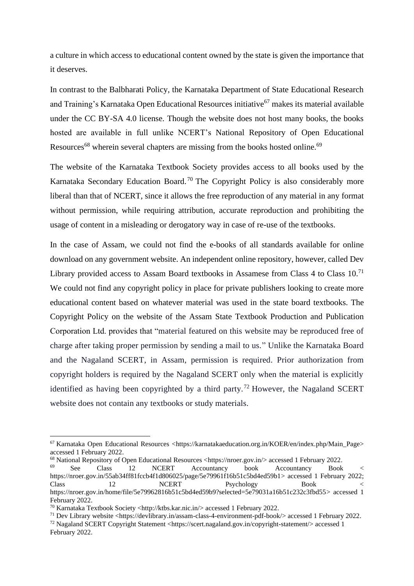a culture in which access to educational content owned by the state is given the importance that it deserves.

In contrast to the Balbharati Policy, the Karnataka Department of State Educational Research and Training's Karnataka Open Educational Resources initiative<sup>67</sup> makes its material available under the CC BY-SA 4.0 license. Though the website does not host many books, the books hosted are available in full unlike NCERT's National Repository of Open Educational Resources<sup>68</sup> wherein several chapters are missing from the books hosted online.<sup>69</sup>

The website of the Karnataka Textbook Society provides access to all books used by the Karnataka Secondary Education Board.<sup>70</sup> The Copyright Policy is also considerably more liberal than that of NCERT, since it allows the free reproduction of any material in any format without permission, while requiring attribution, accurate reproduction and prohibiting the usage of content in a misleading or derogatory way in case of re-use of the textbooks.

In the case of Assam, we could not find the e-books of all standards available for online download on any government website. An independent online repository, however, called Dev Library provided access to Assam Board textbooks in Assamese from Class  $4$  to Class  $10$ .<sup>71</sup> We could not find any copyright policy in place for private publishers looking to create more educational content based on whatever material was used in the state board textbooks. The Copyright Policy on the website of the Assam State Textbook Production and Publication Corporation Ltd. provides that "material featured on this website may be reproduced free of charge after taking proper permission by sending a mail to us." Unlike the Karnataka Board and the Nagaland SCERT, in Assam, permission is required. Prior authorization from copyright holders is required by the Nagaland SCERT only when the material is explicitly identified as having been copyrighted by a third party.<sup>72</sup> However, the Nagaland SCERT website does not contain any textbooks or study materials.

<sup>67</sup> Karnataka Open Educational Resources [<https://karnatakaeducation.org.in/KOER/en/index.php/Main\\_Page>](https://karnatakaeducation.org.in/KOER/en/index.php/Main_Page) accessed 1 February 2022.

<sup>&</sup>lt;sup>68</sup> National Repository of Open Educational Resources [<https://nroer.gov.in/>](https://nroer.gov.in/) accessed 1 February 2022.<br>
See Class 12 NCERT Accountancy book Accountancy Book

See Class 12 NCERT Accountancy book Accountancy Book < [https://nroer.gov.in/55ab34ff81fccb4f1d806025/page/5e79961f16b51c5bd4ed59b1>](https://nroer.gov.in/55ab34ff81fccb4f1d806025/page/5e79961f16b51c5bd4ed59b1) accessed 1 February 2022; Class 12 NCERT Psychology Book < [https://nroer.gov.in/home/file/5e79962816b51c5bd4ed59b9?selected=5e79031a16b51c232c3fbd55>](https://nroer.gov.in/home/file/5e79962816b51c5bd4ed59b9?selected=5e79031a16b51c232c3fbd55) accessed 1 February 2022.

<sup>70</sup> Karnataka Textbook Society [<http://ktbs.kar.nic.in/>](http://ktbs.kar.nic.in/) accessed 1 February 2022.

<sup>&</sup>lt;sup>71</sup> Dev Library website [<https://devlibrary.in/assam-class-4-environment-pdf-book/>](https://devlibrary.in/assam-class-4-environment-pdf-book/) accessed 1 February 2022.

<sup>72</sup> Nagaland SCERT Copyright Statement [<https://scert.nagaland.gov.in/copyright-statement/>](https://scert.nagaland.gov.in/copyright-statement/) accessed 1 February 2022.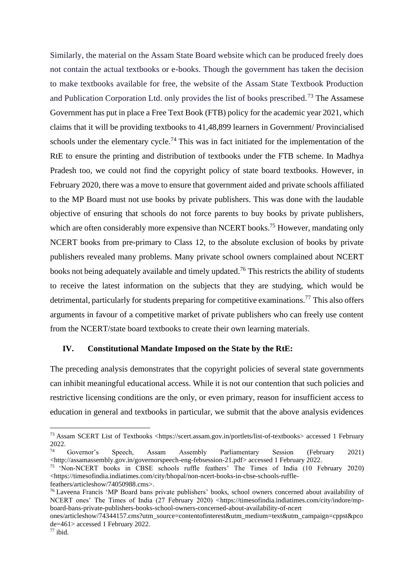Similarly, the material on the Assam State Board website which can be produced freely does not contain the actual textbooks or e-books. Though the government has taken the decision to make textbooks available for free, the website of the Assam State Textbook Production and Publication Corporation Ltd. only provides the list of books prescribed.<sup>73</sup> The Assamese Government has put in place a Free Text Book (FTB) policy for the academic year 2021, which claims that it will be providing textbooks to 41,48,899 learners in Government/ Provincialised schools under the elementary cycle.<sup>74</sup> This was in fact initiated for the implementation of the RtE to ensure the printing and distribution of textbooks under the FTB scheme. In Madhya Pradesh too, we could not find the copyright policy of state board textbooks. However, in February 2020, there was a move to ensure that government aided and private schools affiliated to the MP Board must not use books by private publishers. This was done with the laudable objective of ensuring that schools do not force parents to buy books by private publishers, which are often considerably more expensive than NCERT books.<sup>75</sup> However, mandating only NCERT books from pre-primary to Class 12, to the absolute exclusion of books by private publishers revealed many problems. Many private school owners complained about NCERT books not being adequately available and timely updated.<sup>76</sup> This restricts the ability of students to receive the latest information on the subjects that they are studying, which would be detrimental, particularly for students preparing for competitive examinations.<sup>77</sup> This also offers arguments in favour of a competitive market of private publishers who can freely use content from the NCERT/state board textbooks to create their own learning materials.

## **IV. Constitutional Mandate Imposed on the State by the RtE:**

The preceding analysis demonstrates that the copyright policies of several state governments can inhibit meaningful educational access. While it is not our contention that such policies and restrictive licensing conditions are the only, or even primary, reason for insufficient access to education in general and textbooks in particular, we submit that the above analysis evidences

<sup>73</sup> Assam SCERT List of Textbooks [<https://scert.assam.gov.in/portlets/list-of-textbooks>](https://scert.assam.gov.in/portlets/list-of-textbooks) accessed 1 February  $2022.$ 

<sup>74</sup> Governor's Speech, Assam Assembly Parliamentary Session (February 2021) [<http://assamassembly.gov.in/governorspeech-eng-febsession-21.pdf>](http://assamassembly.gov.in/governorspeech-eng-febsession-21.pdf) accessed 1 February 2022.

<sup>75</sup> 'Non-NCERT books in CBSE schools ruffle feathers' The Times of India (10 February 2020) [<https://timesofindia.indiatimes.com/city/bhopal/non-ncert-books-in-cbse-schools-ruffle-](https://timesofindia.indiatimes.com/city/bhopal/non-ncert-books-in-cbse-schools-ruffle-feathers/articleshow/74050988.cms)

[feathers/articleshow/74050988.cms>](https://timesofindia.indiatimes.com/city/bhopal/non-ncert-books-in-cbse-schools-ruffle-feathers/articleshow/74050988.cms).

<sup>76</sup> Laveena Francis 'MP Board bans private publishers' books, school owners concerned about availability of NCERT ones' The Times of India (27 February 2020) [<https://timesofindia.indiatimes.com/city/indore/mp](https://timesofindia.indiatimes.com/city/indore/mp-board-bans-private-publishers-books-school-owners-concerned-about-availability-of-ncert%20ones/articleshow/74344157.cms?utm_source=contentofinterest&utm_medium=text&utm_campaign=cppst&pcode=461)[board-bans-private-publishers-books-school-owners-concerned-about-availability-of-ncert](https://timesofindia.indiatimes.com/city/indore/mp-board-bans-private-publishers-books-school-owners-concerned-about-availability-of-ncert%20ones/articleshow/74344157.cms?utm_source=contentofinterest&utm_medium=text&utm_campaign=cppst&pcode=461) 

[ones/articleshow/74344157.cms?utm\\_source=contentofinterest&utm\\_medium=text&utm\\_campaign=cppst&pco](https://timesofindia.indiatimes.com/city/indore/mp-board-bans-private-publishers-books-school-owners-concerned-about-availability-of-ncert%20ones/articleshow/74344157.cms?utm_source=contentofinterest&utm_medium=text&utm_campaign=cppst&pcode=461) [de=461>](https://timesofindia.indiatimes.com/city/indore/mp-board-bans-private-publishers-books-school-owners-concerned-about-availability-of-ncert%20ones/articleshow/74344157.cms?utm_source=contentofinterest&utm_medium=text&utm_campaign=cppst&pcode=461) accessed 1 February 2022.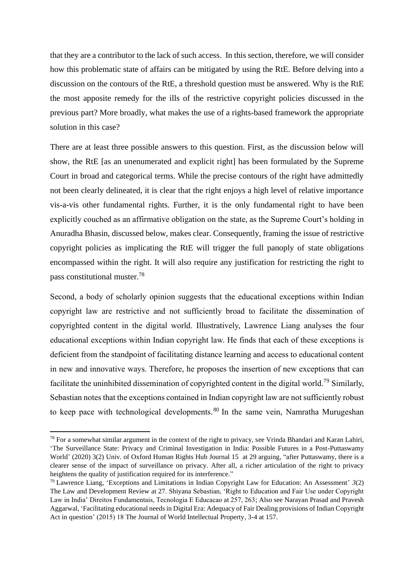that they are a contributor to the lack of such access. In this section, therefore, we will consider how this problematic state of affairs can be mitigated by using the RtE. Before delving into a discussion on the contours of the RtE, a threshold question must be answered. Why is the RtE the most apposite remedy for the ills of the restrictive copyright policies discussed in the previous part? More broadly, what makes the use of a rights-based framework the appropriate solution in this case?

There are at least three possible answers to this question. First, as the discussion below will show, the RtE [as an unenumerated and explicit right] has been formulated by the Supreme Court in broad and categorical terms. While the precise contours of the right have admittedly not been clearly delineated, it is clear that the right enjoys a high level of relative importance vis-a-vis other fundamental rights. Further, it is the only fundamental right to have been explicitly couched as an affirmative obligation on the state, as the Supreme Court's holding in Anuradha Bhasin, discussed below, makes clear. Consequently, framing the issue of restrictive copyright policies as implicating the RtE will trigger the full panoply of state obligations encompassed within the right. It will also require any justification for restricting the right to pass constitutional muster.<sup>78</sup>

Second, a body of scholarly opinion suggests that the educational exceptions within Indian copyright law are restrictive and not sufficiently broad to facilitate the dissemination of copyrighted content in the digital world. Illustratively, Lawrence Liang analyses the four educational exceptions within Indian copyright law. He finds that each of these exceptions is deficient from the standpoint of facilitating distance learning and access to educational content in new and innovative ways. Therefore, he proposes the insertion of new exceptions that can facilitate the uninhibited dissemination of copyrighted content in the digital world.<sup>79</sup> Similarly, Sebastian notes that the exceptions contained in Indian copyright law are not sufficiently robust to keep pace with technological developments.<sup>80</sup> In the same vein, Namratha Murugeshan

 $^{78}$  For a somewhat similar argument in the context of the right to privacy, see Vrinda Bhandari and Karan Lahiri, 'The Surveillance State: Privacy and Criminal Investigation in India: Possible Futures in a Post-Puttaswamy World' (2020) 3(2) Univ. of Oxford Human Rights Hub Journal 15 at 29 arguing, "after Puttaswamy, there is a clearer sense of the impact of surveillance on privacy. After all, a richer articulation of the right to privacy heightens the quality of justification required for its interference."

<sup>79</sup> Lawrence Liang, 'Exceptions and Limitations in Indian Copyright Law for Education: An Assessment' *3*(2) The Law and Development Review at 27. Shiyana Sebastian, 'Right to Education and Fair Use under Copyright Law in India' Direitos Fundamentais, Tecnologia E Educacao at 257, 263; Also see Narayan Prasad and Pravesh Aggarwal, 'Facilitating educational needs in Digital Era: Adequacy of Fair Dealing provisions of Indian Copyright Act in question' (2015) 18 The Journal of World Intellectual Property, 3-4 at 157.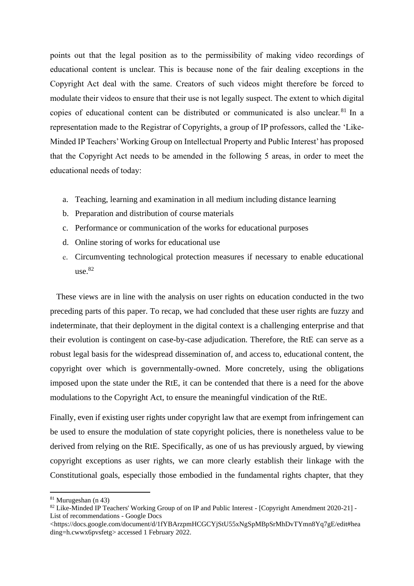points out that the legal position as to the permissibility of making video recordings of educational content is unclear. This is because none of the fair dealing exceptions in the Copyright Act deal with the same. Creators of such videos might therefore be forced to modulate their videos to ensure that their use is not legally suspect. The extent to which digital copies of educational content can be distributed or communicated is also unclear.<sup>81</sup> In a representation made to the Registrar of Copyrights, a group of IP professors, called the 'Like-Minded IP Teachers' Working Group on Intellectual Property and Public Interest' has proposed that the Copyright Act needs to be amended in the following 5 areas, in order to meet the educational needs of today:

- a. Teaching, learning and examination in all medium including distance learning
- b. Preparation and distribution of course materials
- c. Performance or communication of the works for educational purposes
- d. Online storing of works for educational use
- e. Circumventing technological protection measures if necessary to enable educational use. 82

 These views are in line with the analysis on user rights on education conducted in the two preceding parts of this paper. To recap, we had concluded that these user rights are fuzzy and indeterminate, that their deployment in the digital context is a challenging enterprise and that their evolution is contingent on case-by-case adjudication. Therefore, the RtE can serve as a robust legal basis for the widespread dissemination of, and access to, educational content, the copyright over which is governmentally-owned. More concretely, using the obligations imposed upon the state under the RtE, it can be contended that there is a need for the above modulations to the Copyright Act, to ensure the meaningful vindication of the RtE.

Finally, even if existing user rights under copyright law that are exempt from infringement can be used to ensure the modulation of state copyright policies, there is nonetheless value to be derived from relying on the RtE. Specifically, as one of us has previously argued, by viewing copyright exceptions as user rights, we can more clearly establish their linkage with the Constitutional goals, especially those embodied in the fundamental rights chapter, that they

<sup>81</sup> Murugeshan (n 43)

<sup>&</sup>lt;sup>82</sup> Like-Minded IP Teachers' Working Group of on IP and Public Interest - [Copyright Amendment 2020-21] -List of recommendations - Google Docs

[<sup>&</sup>lt;https://docs.google.com/document/d/1fYBArzpmHCGCYjStU55xNgSpMBpSrMhDvTYmn8Yq7gE/edit#hea](https://docs.google.com/document/d/1fYBArzpmHCGCYjStU55xNgSpMBpSrMhDvTYmn8Yq7gE/edit#heading=h.cwwx6pvsfetg) [ding=h.cwwx6pvsfetg>](https://docs.google.com/document/d/1fYBArzpmHCGCYjStU55xNgSpMBpSrMhDvTYmn8Yq7gE/edit#heading=h.cwwx6pvsfetg) accessed 1 February 2022.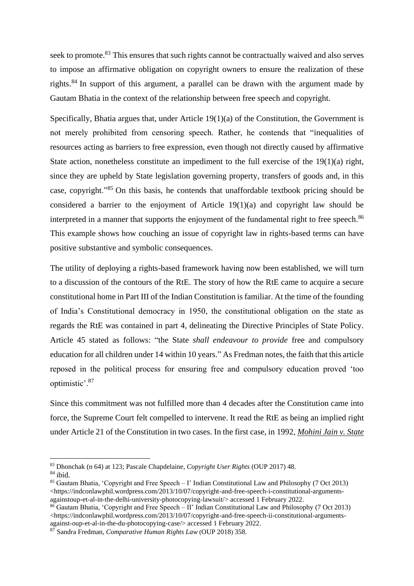seek to promote.<sup>83</sup> This ensures that such rights cannot be contractually waived and also serves to impose an affirmative obligation on copyright owners to ensure the realization of these rights.<sup>84</sup> In support of this argument, a parallel can be drawn with the argument made by Gautam Bhatia in the context of the relationship between free speech and copyright.

Specifically, Bhatia argues that, under Article 19(1)(a) of the Constitution, the Government is not merely prohibited from censoring speech. Rather, he contends that "inequalities of resources acting as barriers to free expression, even though not directly caused by affirmative State action, nonetheless constitute an impediment to the full exercise of the 19(1)(a) right, since they are upheld by State legislation governing property, transfers of goods and, in this case, copyright."<sup>85</sup> On this basis, he contends that unaffordable textbook pricing should be considered a barrier to the enjoyment of Article 19(1)(a) and copyright law should be interpreted in a manner that supports the enjoyment of the fundamental right to free speech.<sup>86</sup> This example shows how couching an issue of copyright law in rights-based terms can have positive substantive and symbolic consequences.

The utility of deploying a rights-based framework having now been established, we will turn to a discussion of the contours of the RtE. The story of how the RtE came to acquire a secure constitutional home in Part III of the Indian Constitution is familiar. At the time of the founding of India's Constitutional democracy in 1950, the constitutional obligation on the state as regards the RtE was contained in part 4, delineating the Directive Principles of State Policy. Article 45 stated as follows: "the State *shall endeavour to provide* free and compulsory education for all children under 14 within 10 years." As Fredman notes, the faith that this article reposed in the political process for ensuring free and compulsory education proved 'too optimistic'.<sup>87</sup>

Since this commitment was not fulfilled more than 4 decades after the Constitution came into force, the Supreme Court felt compelled to intervene. It read the RtE as being an implied right under Article 21 of the Constitution in two cases. In the first case, in 1992, *Mohini Jain v. State* 

<sup>83</sup> Dhonchak (n 64) at 123; Pascale Chapdelaine, *Copyright User Rights* (OUP 2017) 48.

 $84$  ibid.

<sup>85</sup> Gautam Bhatia, 'Copyright and Free Speech – I' Indian Constitutional Law and Philosophy (7 Oct 2013) [<https://indconlawphil.wordpress.com/2013/10/07/copyright-and-free-speech-i-constitutional-arguments](https://indconlawphil.wordpress.com/2013/10/07/copyright-and-free-speech-i-constitutional-arguments-againstoup-et-al-in-the-delhi-university-photocopying-lawsuit/)[againstoup-et-al-in-the-delhi-university-photocopying-lawsuit/>](https://indconlawphil.wordpress.com/2013/10/07/copyright-and-free-speech-i-constitutional-arguments-againstoup-et-al-in-the-delhi-university-photocopying-lawsuit/) accessed 1 February 2022.

 $86$  Gautam Bhatia, 'Copyright and Free Speech – II' Indian Constitutional Law and Philosophy (7 Oct 2013) [<https://indconlawphil.wordpress.com/2013/10/07/copyright-and-free-speech-ii-constitutional-arguments](https://indconlawphil.wordpress.com/2013/10/07/copyright-and-free-speech-ii-constitutional-arguments-against-oup-et-al-in-the-du-photocopying-case/)[against-oup-et-al-in-the-du-photocopying-case/>](https://indconlawphil.wordpress.com/2013/10/07/copyright-and-free-speech-ii-constitutional-arguments-against-oup-et-al-in-the-du-photocopying-case/) accessed 1 February 2022.

<sup>87</sup> Sandra Fredman, *Comparative Human Rights Law* (OUP 2018) 358.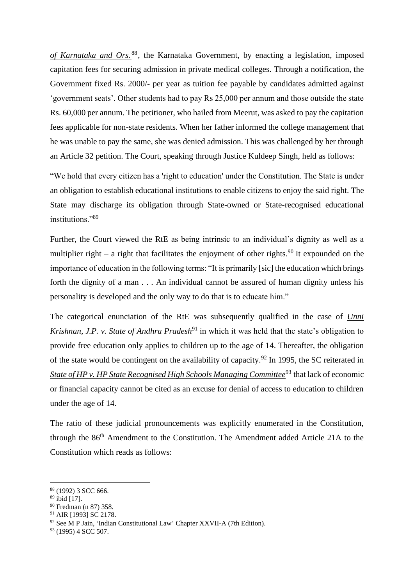*of Karnataka and Ors.* <sup>88</sup> , the Karnataka Government, by enacting a legislation, imposed capitation fees for securing admission in private medical colleges. Through a notification, the Government fixed Rs. 2000/- per year as tuition fee payable by candidates admitted against 'government seats'. Other students had to pay Rs 25,000 per annum and those outside the state Rs. 60,000 per annum. The petitioner, who hailed from Meerut, was asked to pay the capitation fees applicable for non-state residents. When her father informed the college management that he was unable to pay the same, she was denied admission. This was challenged by her through an Article 32 petition. The Court, speaking through Justice Kuldeep Singh, held as follows:

"We hold that every citizen has a 'right to education' under the Constitution. The State is under an obligation to establish educational institutions to enable citizens to enjoy the said right. The State may discharge its obligation through State-owned or State-recognised educational institutions<sup>"89</sup>

Further, the Court viewed the RtE as being intrinsic to an individual's dignity as well as a multiplier right – a right that facilitates the enjoyment of other rights.<sup>90</sup> It expounded on the importance of education in the following terms: "It is primarily [sic] the education which brings forth the dignity of a man . . . An individual cannot be assured of human dignity unless his personality is developed and the only way to do that is to educate him."

The categorical enunciation of the RtE was subsequently qualified in the case of *Unni Krishnan, J.P. v. State of Andhra Pradesh*<sup>91</sup> in which it was held that the state's obligation to provide free education only applies to children up to the age of 14. Thereafter, the obligation of the state would be contingent on the availability of capacity.<sup>92</sup> In 1995, the SC reiterated in *State of HP v. HP State Recognised High Schools Managing Committee*<sup>93</sup> that lack of economic or financial capacity cannot be cited as an excuse for denial of access to education to children under the age of 14.

The ratio of these judicial pronouncements was explicitly enumerated in the Constitution, through the 86th Amendment to the Constitution. The Amendment added Article 21A to the Constitution which reads as follows:

<sup>88</sup> (1992) 3 SCC 666.

<sup>89</sup> ibid [17].

<sup>90</sup> Fredman (n 87) 358.

<sup>91</sup> AIR [1993] SC 2178.

<sup>&</sup>lt;sup>92</sup> See M P Jain, 'Indian Constitutional Law' Chapter XXVII-A (7th Edition).

<sup>93</sup> (1995) 4 SCC 507.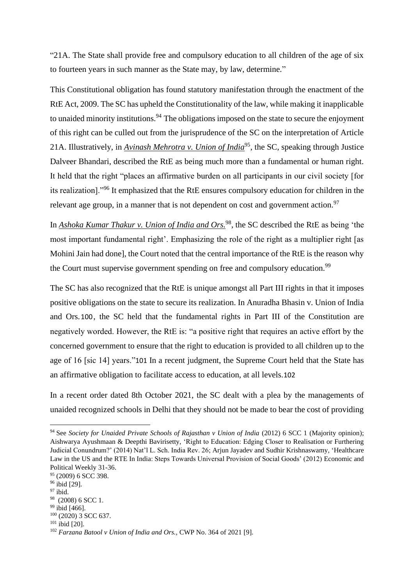"21A. The State shall provide free and compulsory education to all children of the age of six to fourteen years in such manner as the State may, by law, determine."

This Constitutional obligation has found statutory manifestation through the enactment of the RtE Act, 2009. The SC has upheld the Constitutionality of the law, while making it inapplicable to unaided minority institutions.  $94$  The obligations imposed on the state to secure the enjoyment of this right can be culled out from the jurisprudence of the SC on the interpretation of Article 21A. Illustratively, in *Avinash Mehrotra v. Union of India*<sup>95</sup>, the SC, speaking through Justice Dalveer Bhandari, described the RtE as being much more than a fundamental or human right. It held that the right "places an affirmative burden on all participants in our civil society [for its realization]."<sup>96</sup> It emphasized that the RtE ensures compulsory education for children in the relevant age group, in a manner that is not dependent on cost and government action. $97$ 

In *Ashoka Kumar Thakur v. Union of India and Ors.*<sup>98</sup>, the SC described the RtE as being 'the most important fundamental right'. Emphasizing the role of the right as a multiplier right [as Mohini Jain had done], the Court noted that the central importance of the RtE is the reason why the Court must supervise government spending on free and compulsory education.<sup>99</sup>

The SC has also recognized that the RtE is unique amongst all Part III rights in that it imposes positive obligations on the state to secure its realization. In Anuradha Bhasin v. Union of India and Ors.100, the SC held that the fundamental rights in Part III of the Constitution are negatively worded. However, the RtE is: "a positive right that requires an active effort by the concerned government to ensure that the right to education is provided to all children up to the age of 16 [sic 14] years."101 In a recent judgment, the Supreme Court held that the State has an affirmative obligation to facilitate access to education, at all levels.102

In a recent order dated 8th October 2021, the SC dealt with a plea by the managements of unaided recognized schools in Delhi that they should not be made to bear the cost of providing

<sup>94</sup> See *Society for Unaided Private Schools of Rajasthan v Union of India* (2012) 6 SCC 1 (Majority opinion); Aishwarya Ayushmaan & Deepthi Bavirisetty, 'Right to Education: Edging Closer to Realisation or Furthering Judicial Conundrum?' (2014) Nat'l L. Sch. India Rev. 26; Arjun Jayadev and Sudhir Krishnaswamy, 'Healthcare Law in the US and the RTE In India: Steps Towards Universal Provision of Social Goods' (2012) Economic and Political Weekly 31-36.

 $95$  (2009) 6 SCC 398.

<sup>96</sup> ibid [29].

<sup>97</sup> ibid.

<sup>98</sup> (2008) 6 SCC 1.

<sup>99</sup> ibid [466].

<sup>100</sup> (2020) 3 SCC 637.

<sup>101</sup> ibid [20].

<sup>102</sup> *Farzana Batool v Union of India and Ors.,* CWP No. 364 of 2021 [9].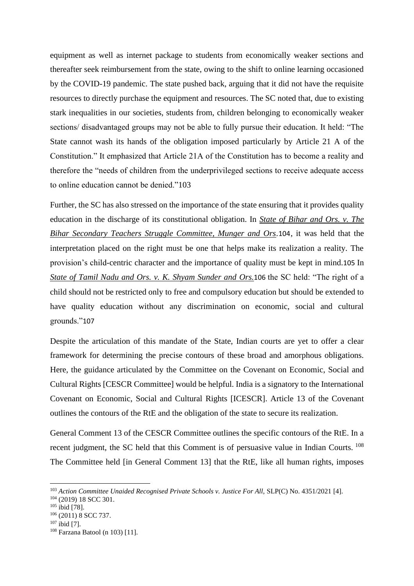equipment as well as internet package to students from economically weaker sections and thereafter seek reimbursement from the state, owing to the shift to online learning occasioned by the COVID-19 pandemic. The state pushed back, arguing that it did not have the requisite resources to directly purchase the equipment and resources. The SC noted that, due to existing stark inequalities in our societies, students from, children belonging to economically weaker sections/ disadvantaged groups may not be able to fully pursue their education. It held: "The State cannot wash its hands of the obligation imposed particularly by Article 21 A of the Constitution." It emphasized that Article 21A of the Constitution has to become a reality and therefore the "needs of children from the underprivileged sections to receive adequate access to online education cannot be denied."103

Further, the SC has also stressed on the importance of the state ensuring that it provides quality education in the discharge of its constitutional obligation. In *State of Bihar and Ors. v. The Bihar Secondary Teachers Struggle Committee, Munger and Ors*.104, it was held that the interpretation placed on the right must be one that helps make its realization a reality. The provision's child-centric character and the importance of quality must be kept in mind.105 In *State of Tamil Nadu and Ors. v. K. Shyam Sunder and Ors.*106 the SC held: "The right of a child should not be restricted only to free and compulsory education but should be extended to have quality education without any discrimination on economic, social and cultural grounds."107

Despite the articulation of this mandate of the State, Indian courts are yet to offer a clear framework for determining the precise contours of these broad and amorphous obligations. Here, the guidance articulated by the Committee on the Covenant on Economic, Social and Cultural Rights [CESCR Committee] would be helpful. India is a signatory to the International Covenant on Economic, Social and Cultural Rights [ICESCR]. Article 13 of the Covenant outlines the contours of the RtE and the obligation of the state to secure its realization.

General Comment 13 of the CESCR Committee outlines the specific contours of the RtE. In a recent judgment, the SC held that this Comment is of persuasive value in Indian Courts. <sup>108</sup> The Committee held [in General Comment 13] that the RtE, like all human rights, imposes

<sup>&</sup>lt;sup>103</sup> Action Committee Unaided Recognised Private Schools v. Justice For All, SLP(C) No. 4351/2021 [4].

<sup>104</sup> (2019) 18 SCC 301.

<sup>&</sup>lt;sup>105</sup> ibid [78].

<sup>106</sup> (2011) 8 SCC 737.

 $107$  ibid [7].

<sup>108</sup> Farzana Batool (n 103) [11].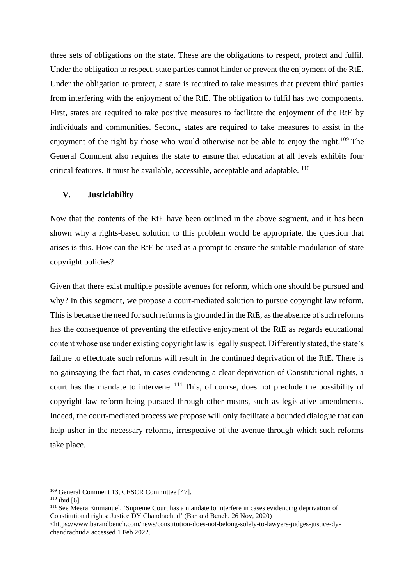three sets of obligations on the state. These are the obligations to respect, protect and fulfil. Under the obligation to respect, state parties cannot hinder or prevent the enjoyment of the RtE. Under the obligation to protect, a state is required to take measures that prevent third parties from interfering with the enjoyment of the RtE. The obligation to fulfil has two components. First, states are required to take positive measures to facilitate the enjoyment of the RtE by individuals and communities. Second, states are required to take measures to assist in the enjoyment of the right by those who would otherwise not be able to enjoy the right.<sup>109</sup> The General Comment also requires the state to ensure that education at all levels exhibits four critical features. It must be available, accessible, acceptable and adaptable. <sup>110</sup>

## **V. Justiciability**

Now that the contents of the RtE have been outlined in the above segment, and it has been shown why a rights-based solution to this problem would be appropriate, the question that arises is this. How can the RtE be used as a prompt to ensure the suitable modulation of state copyright policies?

Given that there exist multiple possible avenues for reform, which one should be pursued and why? In this segment, we propose a court-mediated solution to pursue copyright law reform. This is because the need for such reforms is grounded in the RtE, as the absence of such reforms has the consequence of preventing the effective enjoyment of the RtE as regards educational content whose use under existing copyright law is legally suspect. Differently stated, the state's failure to effectuate such reforms will result in the continued deprivation of the RtE. There is no gainsaying the fact that, in cases evidencing a clear deprivation of Constitutional rights, a court has the mandate to intervene. <sup>111</sup> This, of course, does not preclude the possibility of copyright law reform being pursued through other means, such as legislative amendments. Indeed, the court-mediated process we propose will only facilitate a bounded dialogue that can help usher in the necessary reforms, irrespective of the avenue through which such reforms take place.

<sup>109</sup> General Comment 13, CESCR Committee [47].

 $110$  ibid [6].

<sup>&</sup>lt;sup>111</sup> See Meera Emmanuel, 'Supreme Court has a mandate to interfere in cases evidencing deprivation of Constitutional rights: Justice DY Chandrachud' (Bar and Bench, 26 Nov, 2020)

<sup>&</sup>lt;https://www.barandbench.com/news/constitution-does-not-belong-solely-to-lawyers-judges-justice-dychandrachud> accessed 1 Feb 2022.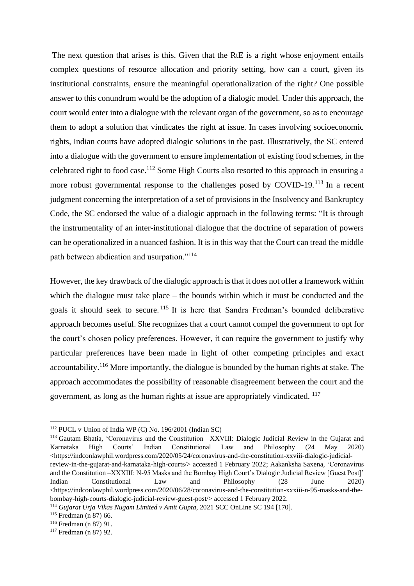The next question that arises is this. Given that the RtE is a right whose enjoyment entails complex questions of resource allocation and priority setting, how can a court, given its institutional constraints, ensure the meaningful operationalization of the right? One possible answer to this conundrum would be the adoption of a dialogic model. Under this approach, the court would enter into a dialogue with the relevant organ of the government, so as to encourage them to adopt a solution that vindicates the right at issue. In cases involving socioeconomic rights, Indian courts have adopted dialogic solutions in the past. Illustratively, the SC entered into a dialogue with the government to ensure implementation of existing food schemes, in the celebrated right to food case.<sup>112</sup> Some High Courts also resorted to this approach in ensuring a more robust governmental response to the challenges posed by COVID-19.<sup>113</sup> In a recent judgment concerning the interpretation of a set of provisions in the Insolvency and Bankruptcy Code, the SC endorsed the value of a dialogic approach in the following terms: "It is through the instrumentality of an inter-institutional dialogue that the doctrine of separation of powers can be operationalized in a nuanced fashion. It is in this way that the Court can tread the middle path between abdication and usurpation."<sup>114</sup>

However, the key drawback of the dialogic approach is that it does not offer a framework within which the dialogue must take place – the bounds within which it must be conducted and the goals it should seek to secure. <sup>115</sup> It is here that Sandra Fredman's bounded deliberative approach becomes useful. She recognizes that a court cannot compel the government to opt for the court's chosen policy preferences. However, it can require the government to justify why particular preferences have been made in light of other competing principles and exact accountability.<sup>116</sup> More importantly, the dialogue is bounded by the human rights at stake. The approach accommodates the possibility of reasonable disagreement between the court and the government, as long as the human rights at issue are appropriately vindicated. <sup>117</sup>

<sup>112</sup> PUCL v Union of India WP (C) No. 196/2001 (Indian SC)

<sup>113</sup> Gautam Bhatia, 'Coronavirus and the Constitution –XXVIII: Dialogic Judicial Review in the Gujarat and Karnataka High Courts' Indian Constitutional Law and Philosophy (24 May 2020) [<https://indconlawphil.wordpress.com/2020/05/24/coronavirus-and-the-constitution-xxviii-dialogic-judicial](https://indconlawphil.wordpress.com/2020/05/24/coronavirus-and-the-constitution-xxviii-dialogic-judicial-review-in-the-gujarat-and-karnataka-high-courts/)[review-in-the-gujarat-and-karnataka-high-courts/>](https://indconlawphil.wordpress.com/2020/05/24/coronavirus-and-the-constitution-xxviii-dialogic-judicial-review-in-the-gujarat-and-karnataka-high-courts/) accessed 1 February 2022; Aakanksha Saxena, 'Coronavirus and the Constitution –XXXIII: N-95 Masks and the Bombay High Court's Dialogic Judicial Review [Guest Post]' Indian Constitutional Law and Philosophy (28 June 2020)  $\lt$ https://indconlawphil.wordpress.com/2020/06/28/coronavirus-and-the-constitution-xxxiii-n-95-masks-and-the[bombay-high-courts-dialogic-judicial-review-guest-post/>](https://indconlawphil.wordpress.com/2020/06/28/coronavirus-and-the-constitution-xxxiii-n-95-masks-and-the-bombay-high-courts-dialogic-judicial-review-guest-post/) accessed 1 February 2022.

<sup>114</sup> *Gujarat Urja Vikas Nugam Limited v Amit Gupta*, 2021 SCC [OnLine](http://www.scconline.com/DocumentLink/E6creG7Q) SC 194 [170].

<sup>115</sup> Fredman (n 87) 66.

<sup>116</sup> Fredman (n 87) 91.

<sup>117</sup> Fredman (n 87) 92.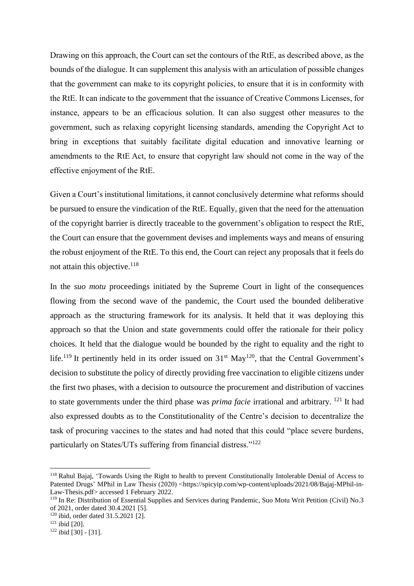Drawing on this approach, the Court can set the contours of the RtE, as described above, as the bounds of the dialogue. It can supplement this analysis with an articulation of possible changes that the government can make to its copyright policies, to ensure that it is in conformity with the RtE. It can indicate to the government that the issuance of Creative Commons Licenses, for instance, appears to be an efficacious solution. It can also suggest other measures to the government, such as relaxing copyright licensing standards, amending the Copyright Act to bring in exceptions that suitably facilitate digital education and innovative learning or amendments to the RtE Act, to ensure that copyright law should not come in the way of the effective enjoyment of the RtE.

Given a Court's institutional limitations, it cannot conclusively determine what reforms should be pursued to ensure the vindication of the RtE. Equally, given that the need for the attenuation of the copyright barrier is directly traceable to the government's obligation to respect the RtE, the Court can ensure that the government devises and implements ways and means of ensuring the robust enjoyment of the RtE. To this end, the Court can reject any proposals that it feels do not attain this objective.<sup>118</sup>

In the *suo motu* proceedings initiated by the Supreme Court in light of the consequences flowing from the second wave of the pandemic, the Court used the bounded deliberative approach as the structuring framework for its analysis. It held that it was deploying this approach so that the Union and state governments could offer the rationale for their policy choices. It held that the dialogue would be bounded by the right to equality and the right to life.<sup>119</sup> It pertinently held in its order issued on  $31<sup>st</sup>$  May<sup>120</sup>, that the Central Government's decision to substitute the policy of directly providing free vaccination to eligible citizens under the first two phases, with a decision to outsource the procurement and distribution of vaccines to state governments under the third phase was *prima facie* irrational and arbitrary. <sup>121</sup> It had also expressed doubts as to the Constitutionality of the Centre's decision to decentralize the task of procuring vaccines to the states and had noted that this could "place severe burdens, particularly on States/UTs suffering from financial distress."<sup>122</sup>

<sup>118</sup> Rahul Bajaj, 'Towards Using the Right to health to prevent Constitutionally Intolerable Denial of Access to Patented Drugs' MPhil in Law Thesis (2020) [<https://spicyip.com/wp-content/uploads/2021/08/Bajaj-MPhil-in-](https://spicyip.com/wp-content/uploads/2021/08/Bajaj-MPhil-in-Law-Thesis.pdf)[Law-Thesis.pdf>](https://spicyip.com/wp-content/uploads/2021/08/Bajaj-MPhil-in-Law-Thesis.pdf) accessed 1 February 2022.

<sup>&</sup>lt;sup>119</sup> In Re: Distribution of Essential Supplies and Services during Pandemic, Suo Motu Writ Petition (Civil) No.3 of 2021, order dated 30.4.2021 [5].

<sup>120</sup> ibid, order dated 31.5.2021 [2].

<sup>121</sup> ibid [20].

 $122$  ibid [30] - [31].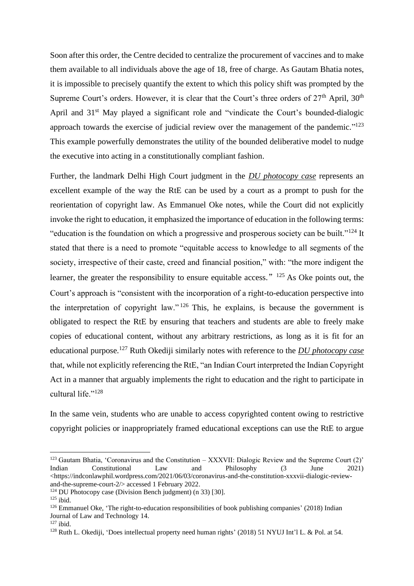Soon after this order, the Centre decided to centralize the procurement of vaccines and to make them available to all individuals above the age of 18, free of charge. As Gautam Bhatia notes, it is impossible to precisely quantify the extent to which this policy shift was prompted by the Supreme Court's orders. However, it is clear that the Court's three orders of  $27<sup>th</sup>$  April,  $30<sup>th</sup>$ April and 31<sup>st</sup> May played a significant role and "vindicate the Court's bounded-dialogic approach towards the exercise of judicial review over the management of the pandemic." $123$ This example powerfully demonstrates the utility of the bounded deliberative model to nudge the executive into acting in a constitutionally compliant fashion.

Further, the landmark Delhi High Court judgment in the *DU photocopy case* represents an excellent example of the way the RtE can be used by a court as a prompt to push for the reorientation of copyright law. As Emmanuel Oke notes, while the Court did not explicitly invoke the right to education, it emphasized the importance of education in the following terms: "education is the foundation on which a progressive and prosperous society can be built."<sup>124</sup> It stated that there is a need to promote "equitable access to knowledge to all segments of the society, irrespective of their caste, creed and financial position," with: "the more indigent the learner, the greater the responsibility to ensure equitable access."  $125$  As Oke points out, the Court's approach is "consistent with the incorporation of a right-to-education perspective into the interpretation of copyright law." <sup>126</sup> This, he explains, is because the government is obligated to respect the RtE by ensuring that teachers and students are able to freely make copies of educational content, without any arbitrary restrictions, as long as it is fit for an educational purpose.<sup>127</sup> Ruth Okediji similarly notes with reference to the *DU photocopy case* that, while not explicitly referencing the RtE, "an Indian Court interpreted the Indian Copyright Act in a manner that arguably implements the right to education and the right to participate in cultural life."<sup>128</sup>

In the same vein, students who are unable to access copyrighted content owing to restrictive copyright policies or inappropriately framed educational exceptions can use the RtE to argue

 $123$  Gautam Bhatia, 'Coronavirus and the Constitution – XXXVII: Dialogic Review and the Supreme Court (2)' Indian Constitutional Law and Philosophy (3 June 2021) [<https://indconlawphil.wordpress.com/2021/06/03/coronavirus-and-the-constitution-xxxvii-dialogic-review](https://indconlawphil.wordpress.com/2021/06/03/coronavirus-and-the-constitution-xxxvii-dialogic-review-and-the-supreme-court-2/)[and-the-supreme-court-2/>](https://indconlawphil.wordpress.com/2021/06/03/coronavirus-and-the-constitution-xxxvii-dialogic-review-and-the-supreme-court-2/) accessed 1 February 2022.

<sup>124</sup> DU Photocopy case (Division Bench judgment) (n 33) [30].

<sup>125</sup> ibid.

<sup>126</sup> Emmanuel Oke, 'The right-to-education responsibilities of book publishing companies' (2018) Indian Journal of Law and Technology 14.

 $127$  ibid.

<sup>128</sup> Ruth L. Okediji, 'Does intellectual property need human rights' (2018) 51 NYUJ Int'l L. & Pol. at 54.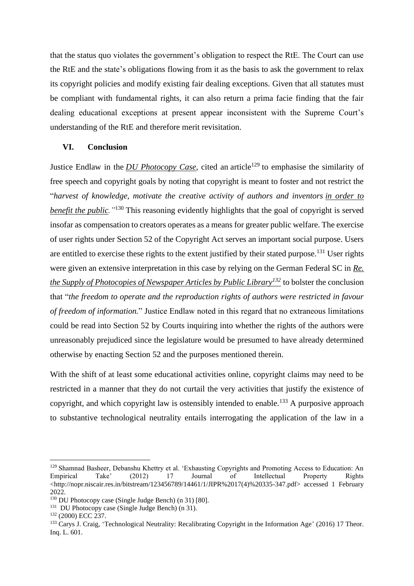that the status quo violates the government's obligation to respect the RtE. The Court can use the RtE and the state's obligations flowing from it as the basis to ask the government to relax its copyright policies and modify existing fair dealing exceptions. Given that all statutes must be compliant with fundamental rights, it can also return a prima facie finding that the fair dealing educational exceptions at present appear inconsistent with the Supreme Court's understanding of the RtE and therefore merit revisitation.

## **VI. Conclusion**

Justice Endlaw in the *DU Photocopy Case*, cited an article<sup>129</sup> to emphasise the similarity of free speech and copyright goals by noting that copyright is meant to foster and not restrict the "*harvest of knowledge, motivate the creative activity of authors and inventors in order to benefit the public.*<sup>"130</sup> This reasoning evidently highlights that the goal of copyright is served insofar as compensation to creators operates as a means for greater public welfare. The exercise of user rights under Section 52 of the Copyright Act serves an important social purpose. Users are entitled to exercise these rights to the extent justified by their stated purpose.<sup>131</sup> User rights were given an extensive interpretation in this case by relying on the German Federal SC in *Re. the Supply of Photocopies of Newspaper Articles by Public Library<sup>132</sup>* to bolster the conclusion that "*the freedom to operate and the reproduction rights of authors were restricted in favour of freedom of information.*" Justice Endlaw noted in this regard that no extraneous limitations could be read into Section 52 by Courts inquiring into whether the rights of the authors were unreasonably prejudiced since the legislature would be presumed to have already determined otherwise by enacting Section 52 and the purposes mentioned therein.

With the shift of at least some educational activities online, copyright claims may need to be restricted in a manner that they do not curtail the very activities that justify the existence of copyright, and which copyright law is ostensibly intended to enable.<sup>133</sup> A purposive approach to substantive technological neutrality entails interrogating the application of the law in a

<sup>129</sup> Shamnad Basheer, Debanshu Khettry et al. 'Exhausting Copyrights and Promoting Access to Education: An Empirical Take' (2012) 17 Journal of Intellectual Property Rights  $\text{chttp://non.niscair.res.in/bitstream/123456789/14461/1/JIPR%2017(4)\%20335-347.pdf}$  accessed 1 February 2022.

<sup>130</sup> DU Photocopy case (Single Judge Bench) (n 31) [80].

<sup>&</sup>lt;sup>131</sup> DU Photocopy case (Single Judge Bench) (n 31).

<sup>132</sup> (2000) ECC 237.

<sup>&</sup>lt;sup>133</sup> Carys J. Craig, 'Technological Neutrality: Recalibrating Copyright in the Information Age' (2016) 17 Theor. Inq. L. 601.